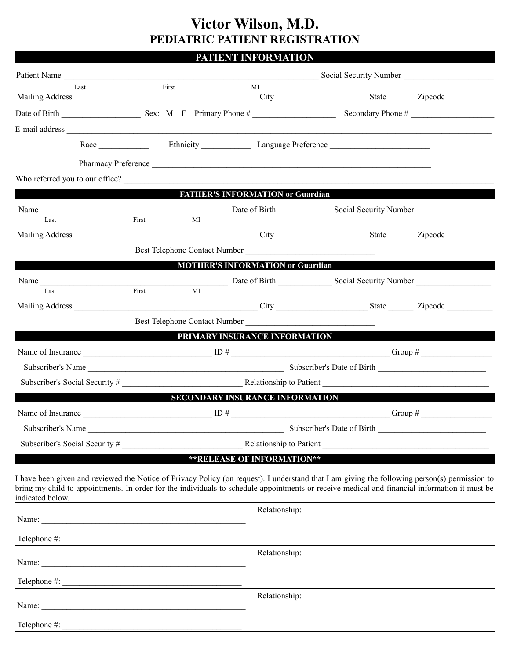## **Victor Wilson, M.D. PEDIATRIC PATIENT REGISTRATION**

#### **PATIENT INFORMATION**

| Patient Name                                                                                                                                                                                                                                                                                                       |             |                                         | Social Security Number             |                   |  |
|--------------------------------------------------------------------------------------------------------------------------------------------------------------------------------------------------------------------------------------------------------------------------------------------------------------------|-------------|-----------------------------------------|------------------------------------|-------------------|--|
| Last                                                                                                                                                                                                                                                                                                               | First       | MI                                      |                                    |                   |  |
|                                                                                                                                                                                                                                                                                                                    |             |                                         |                                    | Secondary Phone # |  |
|                                                                                                                                                                                                                                                                                                                    |             |                                         |                                    |                   |  |
|                                                                                                                                                                                                                                                                                                                    |             |                                         | Race Ethnicity Language Preference |                   |  |
|                                                                                                                                                                                                                                                                                                                    |             |                                         | Pharmacy Preference                |                   |  |
| Who referred you to our office?                                                                                                                                                                                                                                                                                    |             |                                         |                                    |                   |  |
|                                                                                                                                                                                                                                                                                                                    |             | <b>FATHER'S INFORMATION or Guardian</b> |                                    |                   |  |
|                                                                                                                                                                                                                                                                                                                    |             |                                         |                                    |                   |  |
| Last                                                                                                                                                                                                                                                                                                               | First<br>MI |                                         |                                    |                   |  |
|                                                                                                                                                                                                                                                                                                                    |             |                                         |                                    |                   |  |
|                                                                                                                                                                                                                                                                                                                    |             | Best Telephone Contact Number Number    |                                    |                   |  |
|                                                                                                                                                                                                                                                                                                                    |             | <b>MOTHER'S INFORMATION or Guardian</b> |                                    |                   |  |
| Name Date of Birth Social Security Number<br>Last                                                                                                                                                                                                                                                                  | First<br>МI |                                         |                                    |                   |  |
|                                                                                                                                                                                                                                                                                                                    |             |                                         |                                    |                   |  |
|                                                                                                                                                                                                                                                                                                                    |             | Best Telephone Contact Number           |                                    |                   |  |
|                                                                                                                                                                                                                                                                                                                    |             | PRIMARY INSURANCE INFORMATION           |                                    |                   |  |
|                                                                                                                                                                                                                                                                                                                    |             |                                         |                                    |                   |  |
|                                                                                                                                                                                                                                                                                                                    |             |                                         |                                    |                   |  |
| Subscriber's Social Security # Relationship to Patient                                                                                                                                                                                                                                                             |             |                                         |                                    |                   |  |
|                                                                                                                                                                                                                                                                                                                    |             | <b>SECONDARY INSURANCE INFORMATION</b>  |                                    |                   |  |
| Name of Insurance $ID \#$ Group #                                                                                                                                                                                                                                                                                  |             |                                         |                                    |                   |  |
| Subscriber's Name                                                                                                                                                                                                                                                                                                  |             | Subscriber's Date of Birth              |                                    |                   |  |
| Subscriber's Social Security #                                                                                                                                                                                                                                                                                     |             |                                         |                                    |                   |  |
|                                                                                                                                                                                                                                                                                                                    |             | ** RELEASE OF INFORMATION**             |                                    |                   |  |
| I have been given and reviewed the Notice of Privacy Policy (on request). I understand that I am giving the following person(s) permission to<br>bring my child to appointments. In order for the individuals to schedule appointments or receive medical and financial information it must be<br>indicated below. |             |                                         |                                    |                   |  |
|                                                                                                                                                                                                                                                                                                                    |             | Relationship:                           |                                    |                   |  |
|                                                                                                                                                                                                                                                                                                                    |             |                                         |                                    |                   |  |
| Name:                                                                                                                                                                                                                                                                                                              |             | Relationship:                           |                                    |                   |  |

Relationship:

Telephone #: \_\_\_\_\_\_\_\_\_\_\_\_\_\_\_\_\_\_\_\_\_\_\_\_\_\_\_\_\_\_\_\_\_\_\_\_\_\_\_\_\_\_\_

Name: \_\_\_\_\_\_\_\_\_\_\_\_\_\_\_\_\_\_\_\_\_\_\_\_\_\_\_\_\_\_\_\_\_\_\_\_\_\_\_\_\_\_\_\_\_\_\_\_\_ Telephone #: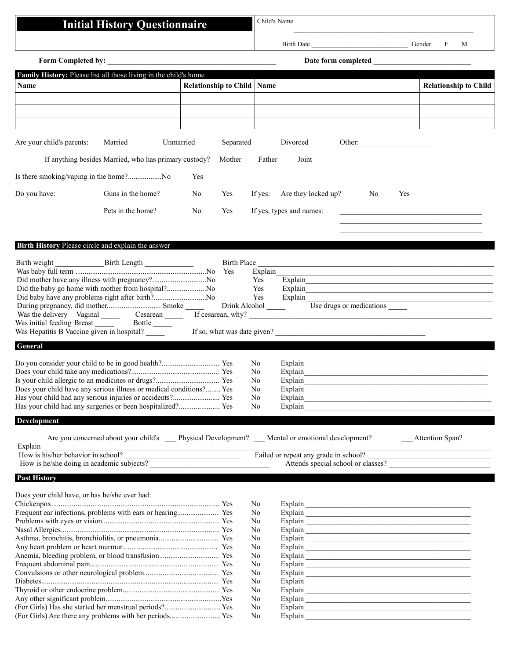# **Initial History Questionnaire** Child's Name

Birth Date \_\_\_\_\_\_\_\_\_\_\_\_\_\_\_\_\_\_\_\_\_\_\_\_\_\_\_\_\_ Gender F M

|                                                                                                                         | Form Completed by:                                                                          |                                     |             |                |                                                                                                                                                                                                                                                                                                                                                                          | Date form completed             |     |                                    |
|-------------------------------------------------------------------------------------------------------------------------|---------------------------------------------------------------------------------------------|-------------------------------------|-------------|----------------|--------------------------------------------------------------------------------------------------------------------------------------------------------------------------------------------------------------------------------------------------------------------------------------------------------------------------------------------------------------------------|---------------------------------|-----|------------------------------------|
|                                                                                                                         | Family History: Please list all those living in the child's home                            |                                     |             |                |                                                                                                                                                                                                                                                                                                                                                                          |                                 |     |                                    |
| Name                                                                                                                    |                                                                                             | <b>Relationship to Child   Name</b> |             |                |                                                                                                                                                                                                                                                                                                                                                                          |                                 |     | <b>Relationship to Child</b>       |
|                                                                                                                         |                                                                                             |                                     |             |                |                                                                                                                                                                                                                                                                                                                                                                          |                                 |     |                                    |
|                                                                                                                         |                                                                                             |                                     |             |                |                                                                                                                                                                                                                                                                                                                                                                          |                                 |     |                                    |
|                                                                                                                         |                                                                                             |                                     |             |                |                                                                                                                                                                                                                                                                                                                                                                          |                                 |     |                                    |
| Are your child's parents:                                                                                               | Married<br>Unmarried                                                                        |                                     | Separated   |                | Divorced                                                                                                                                                                                                                                                                                                                                                                 |                                 |     |                                    |
|                                                                                                                         | If anything besides Married, who has primary custody?                                       |                                     | Mother      | Father         | Joint                                                                                                                                                                                                                                                                                                                                                                    |                                 |     |                                    |
|                                                                                                                         |                                                                                             |                                     |             |                |                                                                                                                                                                                                                                                                                                                                                                          |                                 |     |                                    |
| Is there smoking/vaping in the home?No                                                                                  |                                                                                             | Yes                                 |             |                |                                                                                                                                                                                                                                                                                                                                                                          |                                 |     |                                    |
| Do you have:                                                                                                            | Guns in the home?                                                                           | No                                  | Yes         | If yes:        | Are they locked up?                                                                                                                                                                                                                                                                                                                                                      | No                              | Yes |                                    |
|                                                                                                                         | Pets in the home?                                                                           | No                                  | Yes         |                | If yes, types and names:                                                                                                                                                                                                                                                                                                                                                 |                                 |     |                                    |
|                                                                                                                         |                                                                                             |                                     |             |                |                                                                                                                                                                                                                                                                                                                                                                          |                                 |     |                                    |
| Birth History Please circle and explain the answer                                                                      |                                                                                             |                                     |             |                |                                                                                                                                                                                                                                                                                                                                                                          |                                 |     |                                    |
|                                                                                                                         |                                                                                             |                                     |             |                |                                                                                                                                                                                                                                                                                                                                                                          |                                 |     |                                    |
|                                                                                                                         |                                                                                             |                                     | Birth Place |                |                                                                                                                                                                                                                                                                                                                                                                          |                                 |     |                                    |
| Did mother have any illness with pregnancy?No                                                                           |                                                                                             |                                     |             | Explain<br>Yes | Explain                                                                                                                                                                                                                                                                                                                                                                  |                                 |     |                                    |
| Did the baby go home with mother from hospital?No                                                                       |                                                                                             |                                     |             | Yes            |                                                                                                                                                                                                                                                                                                                                                                          |                                 |     |                                    |
| Did baby have any problems right after birth?No                                                                         |                                                                                             |                                     |             |                | Explain                                                                                                                                                                                                                                                                                                                                                                  |                                 |     |                                    |
| Was the delivery Vaginal Cesarean Tf cesarean, why?                                                                     |                                                                                             |                                     |             |                |                                                                                                                                                                                                                                                                                                                                                                          | Use drugs or medications ______ |     |                                    |
| Was initial feeding Breast Bottle ______                                                                                |                                                                                             |                                     |             |                | <u> 1989 - Johann Barbara, martxa alemaniar a</u>                                                                                                                                                                                                                                                                                                                        |                                 |     |                                    |
| Was Hepatitis B Vaccine given in hospital?                                                                              |                                                                                             |                                     |             |                | If so, what was date given?                                                                                                                                                                                                                                                                                                                                              |                                 |     |                                    |
| General                                                                                                                 |                                                                                             |                                     |             |                |                                                                                                                                                                                                                                                                                                                                                                          |                                 |     |                                    |
|                                                                                                                         |                                                                                             |                                     |             | No             | Explain                                                                                                                                                                                                                                                                                                                                                                  |                                 |     |                                    |
|                                                                                                                         |                                                                                             |                                     |             | No             |                                                                                                                                                                                                                                                                                                                                                                          |                                 |     |                                    |
|                                                                                                                         |                                                                                             |                                     |             | No             |                                                                                                                                                                                                                                                                                                                                                                          |                                 |     |                                    |
| Does your child have any serious illness or medical conditions? Yes                                                     |                                                                                             |                                     |             | No             |                                                                                                                                                                                                                                                                                                                                                                          |                                 |     |                                    |
| Has your child had any serious injuries or accidents? Yes<br>Has your child had any surgeries or been hospitalized? Yes |                                                                                             |                                     |             | No<br>No       | Explain                                                                                                                                                                                                                                                                                                                                                                  |                                 |     |                                    |
|                                                                                                                         |                                                                                             |                                     |             |                |                                                                                                                                                                                                                                                                                                                                                                          |                                 |     |                                    |
| <b>Development</b>                                                                                                      |                                                                                             |                                     |             |                |                                                                                                                                                                                                                                                                                                                                                                          |                                 |     |                                    |
| Explain                                                                                                                 | Are you concerned about your child's Physical Development? Mental or emotional development? |                                     |             |                |                                                                                                                                                                                                                                                                                                                                                                          |                                 |     | <b>Attention Span?</b>             |
|                                                                                                                         | Explain<br>How is his/her behavior in school?                                               |                                     |             |                | Failed or repeat any grade in school?                                                                                                                                                                                                                                                                                                                                    |                                 |     |                                    |
|                                                                                                                         | How is he/she doing in academic subjects?                                                   |                                     |             |                |                                                                                                                                                                                                                                                                                                                                                                          |                                 |     | Attends special school or classes? |
| <b>Past History</b>                                                                                                     |                                                                                             |                                     |             |                |                                                                                                                                                                                                                                                                                                                                                                          |                                 |     |                                    |
| Does your child have, or has he/she ever had:                                                                           |                                                                                             |                                     |             |                |                                                                                                                                                                                                                                                                                                                                                                          |                                 |     |                                    |
|                                                                                                                         |                                                                                             |                                     |             | No             |                                                                                                                                                                                                                                                                                                                                                                          |                                 |     |                                    |
|                                                                                                                         |                                                                                             |                                     |             | No             |                                                                                                                                                                                                                                                                                                                                                                          |                                 |     |                                    |
|                                                                                                                         |                                                                                             |                                     |             | No<br>No       |                                                                                                                                                                                                                                                                                                                                                                          |                                 |     |                                    |
|                                                                                                                         |                                                                                             |                                     |             | No             |                                                                                                                                                                                                                                                                                                                                                                          |                                 |     |                                    |
|                                                                                                                         |                                                                                             |                                     |             | No             |                                                                                                                                                                                                                                                                                                                                                                          |                                 |     |                                    |
|                                                                                                                         |                                                                                             |                                     |             | No             |                                                                                                                                                                                                                                                                                                                                                                          |                                 |     |                                    |
|                                                                                                                         |                                                                                             |                                     |             | No<br>No       |                                                                                                                                                                                                                                                                                                                                                                          |                                 |     |                                    |
|                                                                                                                         |                                                                                             |                                     |             | No             |                                                                                                                                                                                                                                                                                                                                                                          |                                 |     |                                    |
|                                                                                                                         |                                                                                             |                                     |             | No             | $\fbox{Explain} \begin{tabular}{ c c c } \hline \rule{0.3cm}{.4cm} \rule{0.3cm}{.4cm} \rule{0.3cm}{.4cm} \rule{0.3cm}{.4cm} \rule{0.3cm}{.4cm} \rule{0.3cm}{.4cm} \rule{0.3cm}{.4cm} \rule{0.3cm}{.4cm} \rule{0.3cm}{.4cm} \rule{0.3cm}{.4cm} \rule{0.3cm}{.4cm} \rule{0.3cm}{.4cm} \rule{0.3cm}{.4cm} \rule{0.3cm}{.4cm} \rule{0.3cm}{.4cm} \rule{0.3cm}{.4cm} \rule{0$ |                                 |     |                                    |
|                                                                                                                         |                                                                                             |                                     |             | No             |                                                                                                                                                                                                                                                                                                                                                                          |                                 |     |                                    |
| (For Girls) Has she started her menstrual periods? Yes                                                                  |                                                                                             |                                     |             | No             |                                                                                                                                                                                                                                                                                                                                                                          |                                 |     |                                    |
| (For Girls) Are there any problems with her periods Yes                                                                 |                                                                                             |                                     |             | No             |                                                                                                                                                                                                                                                                                                                                                                          |                                 |     |                                    |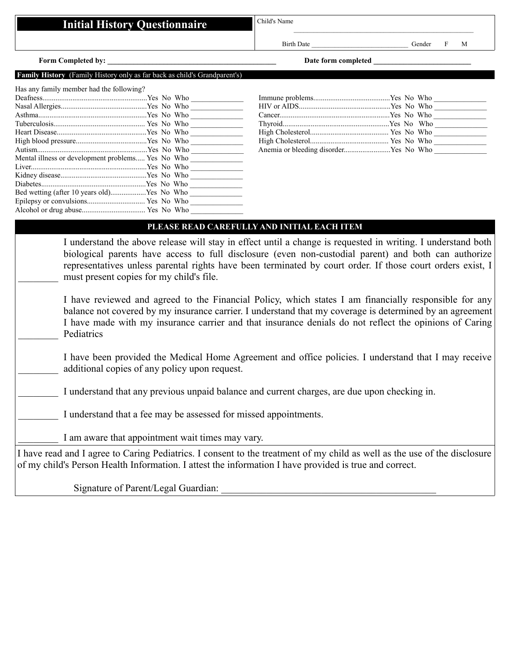|                                                                           | <b>Initial History Questionnaire</b>                             | Child's Name                                                                                           |                                                                                                                                                                                                                                                                                                                                                                                                                                                                                                                                                   |  |  |  |  |
|---------------------------------------------------------------------------|------------------------------------------------------------------|--------------------------------------------------------------------------------------------------------|---------------------------------------------------------------------------------------------------------------------------------------------------------------------------------------------------------------------------------------------------------------------------------------------------------------------------------------------------------------------------------------------------------------------------------------------------------------------------------------------------------------------------------------------------|--|--|--|--|
|                                                                           |                                                                  | Birth Date                                                                                             | Gender<br>F<br>M                                                                                                                                                                                                                                                                                                                                                                                                                                                                                                                                  |  |  |  |  |
| Form Completed by:<br>Date form completed                                 |                                                                  |                                                                                                        |                                                                                                                                                                                                                                                                                                                                                                                                                                                                                                                                                   |  |  |  |  |
| Family History (Family History only as far back as child's Grandparent's) |                                                                  |                                                                                                        |                                                                                                                                                                                                                                                                                                                                                                                                                                                                                                                                                   |  |  |  |  |
| Has any family member had the following?                                  |                                                                  |                                                                                                        |                                                                                                                                                                                                                                                                                                                                                                                                                                                                                                                                                   |  |  |  |  |
|                                                                           |                                                                  |                                                                                                        |                                                                                                                                                                                                                                                                                                                                                                                                                                                                                                                                                   |  |  |  |  |
|                                                                           |                                                                  |                                                                                                        |                                                                                                                                                                                                                                                                                                                                                                                                                                                                                                                                                   |  |  |  |  |
|                                                                           |                                                                  |                                                                                                        |                                                                                                                                                                                                                                                                                                                                                                                                                                                                                                                                                   |  |  |  |  |
|                                                                           |                                                                  |                                                                                                        |                                                                                                                                                                                                                                                                                                                                                                                                                                                                                                                                                   |  |  |  |  |
|                                                                           |                                                                  |                                                                                                        |                                                                                                                                                                                                                                                                                                                                                                                                                                                                                                                                                   |  |  |  |  |
|                                                                           |                                                                  |                                                                                                        |                                                                                                                                                                                                                                                                                                                                                                                                                                                                                                                                                   |  |  |  |  |
|                                                                           |                                                                  |                                                                                                        |                                                                                                                                                                                                                                                                                                                                                                                                                                                                                                                                                   |  |  |  |  |
| Mental illness or development problems Yes No Who                         |                                                                  |                                                                                                        |                                                                                                                                                                                                                                                                                                                                                                                                                                                                                                                                                   |  |  |  |  |
|                                                                           |                                                                  |                                                                                                        |                                                                                                                                                                                                                                                                                                                                                                                                                                                                                                                                                   |  |  |  |  |
|                                                                           |                                                                  |                                                                                                        |                                                                                                                                                                                                                                                                                                                                                                                                                                                                                                                                                   |  |  |  |  |
|                                                                           |                                                                  |                                                                                                        |                                                                                                                                                                                                                                                                                                                                                                                                                                                                                                                                                   |  |  |  |  |
| Bed wetting (after 10 years old)Yes No Who                                |                                                                  |                                                                                                        |                                                                                                                                                                                                                                                                                                                                                                                                                                                                                                                                                   |  |  |  |  |
|                                                                           |                                                                  |                                                                                                        |                                                                                                                                                                                                                                                                                                                                                                                                                                                                                                                                                   |  |  |  |  |
|                                                                           |                                                                  |                                                                                                        |                                                                                                                                                                                                                                                                                                                                                                                                                                                                                                                                                   |  |  |  |  |
|                                                                           |                                                                  | PLEASE READ CAREFULLY AND INITIAL EACH ITEM                                                            |                                                                                                                                                                                                                                                                                                                                                                                                                                                                                                                                                   |  |  |  |  |
| Pediatrics                                                                | must present copies for my child's file.                         |                                                                                                        | biological parents have access to full disclosure (even non-custodial parent) and both can authorize<br>representatives unless parental rights have been terminated by court order. If those court orders exist, I<br>I have reviewed and agreed to the Financial Policy, which states I am financially responsible for any<br>balance not covered by my insurance carrier. I understand that my coverage is determined by an agreement<br>I have made with my insurance carrier and that insurance denials do not reflect the opinions of Caring |  |  |  |  |
|                                                                           | additional copies of any policy upon request.                    |                                                                                                        | I have been provided the Medical Home Agreement and office policies. I understand that I may receive                                                                                                                                                                                                                                                                                                                                                                                                                                              |  |  |  |  |
|                                                                           |                                                                  | I understand that any previous unpaid balance and current charges, are due upon checking in.           |                                                                                                                                                                                                                                                                                                                                                                                                                                                                                                                                                   |  |  |  |  |
|                                                                           | I understand that a fee may be assessed for missed appointments. |                                                                                                        |                                                                                                                                                                                                                                                                                                                                                                                                                                                                                                                                                   |  |  |  |  |
|                                                                           | I am aware that appointment wait times may vary.                 |                                                                                                        |                                                                                                                                                                                                                                                                                                                                                                                                                                                                                                                                                   |  |  |  |  |
|                                                                           |                                                                  | of my child's Person Health Information. I attest the information I have provided is true and correct. | I have read and I agree to Caring Pediatrics. I consent to the treatment of my child as well as the use of the disclosure                                                                                                                                                                                                                                                                                                                                                                                                                         |  |  |  |  |

Signature of Parent/Legal Guardian: